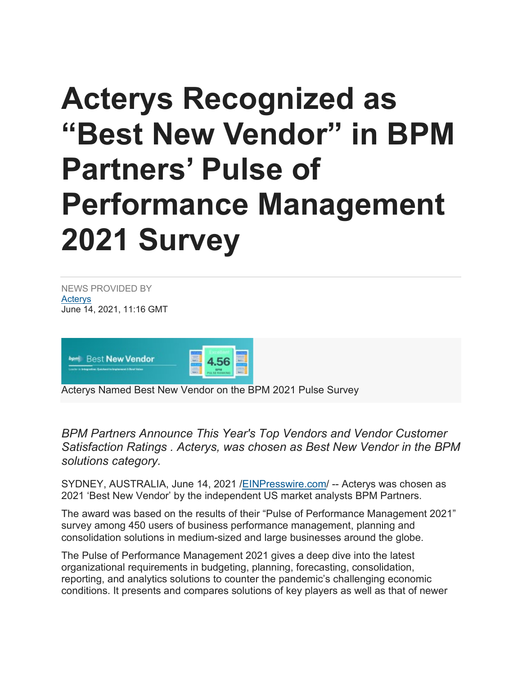## **Acterys Recognized as "Best New Vendor" in BPM Partners' Pulse of Performance Management 2021 Survey**

NEWS PROVIDED BY **Actervs** June 14, 2021, 11:16 GMT



Acterys Named Best New Vendor on the BPM 2021 Pulse Survey

*BPM Partners Announce This Year's Top Vendors and Vendor Customer Satisfaction Ratings . Acterys, was chosen as Best New Vendor in the BPM solutions category.*

SYDNEY, AUSTRALIA, June 14, 2021 [/EINPresswire.com/](http://www.einpresswire.com/) -- Acterys was chosen as 2021 'Best New Vendor' by the independent US market analysts BPM Partners.

The award was based on the results of their "Pulse of Performance Management 2021" survey among 450 users of business performance management, planning and consolidation solutions in medium-sized and large businesses around the globe.

The Pulse of Performance Management 2021 gives a deep dive into the latest organizational requirements in budgeting, planning, forecasting, consolidation, reporting, and analytics solutions to counter the pandemic's challenging economic conditions. It presents and compares solutions of key players as well as that of newer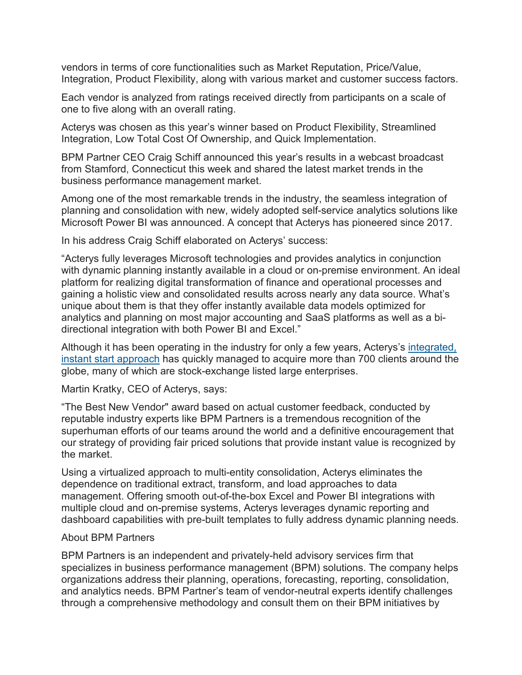vendors in terms of core functionalities such as Market Reputation, Price/Value, Integration, Product Flexibility, along with various market and customer success factors.

Each vendor is analyzed from ratings received directly from participants on a scale of one to five along with an overall rating.

Acterys was chosen as this year's winner based on Product Flexibility, Streamlined Integration, Low Total Cost Of Ownership, and Quick Implementation.

BPM Partner CEO Craig Schiff announced this year's results in a webcast broadcast from Stamford, Connecticut this week and shared the latest market trends in the business performance management market.

Among one of the most remarkable trends in the industry, the seamless integration of planning and consolidation with new, widely adopted self-service analytics solutions like Microsoft Power BI was announced. A concept that Acterys has pioneered since 2017.

In his address Craig Schiff elaborated on Acterys' success:

"Acterys fully leverages Microsoft technologies and provides analytics in conjunction with dynamic planning instantly available in a cloud or on-premise environment. An ideal platform for realizing digital transformation of finance and operational processes and gaining a holistic view and consolidated results across nearly any data source. What's unique about them is that they offer instantly available data models optimized for analytics and planning on most major accounting and SaaS platforms as well as a bidirectional integration with both Power BI and Excel."

Although it has been operating in the industry for only a few years, Acterys's [integrated,](https://www.acterys.com/how-to/)  [instant start approach](https://www.acterys.com/how-to/) has quickly managed to acquire more than 700 clients around the globe, many of which are stock-exchange listed large enterprises.

Martin Kratky, CEO of Acterys, says:

"The Best New Vendor" award based on actual customer feedback, conducted by reputable industry experts like BPM Partners is a tremendous recognition of the superhuman efforts of our teams around the world and a definitive encouragement that our strategy of providing fair priced solutions that provide instant value is recognized by the market.

Using a virtualized approach to multi-entity consolidation, Acterys eliminates the dependence on traditional extract, transform, and load approaches to data management. Offering smooth out-of-the-box Excel and Power BI integrations with multiple cloud and on-premise systems, Acterys leverages dynamic reporting and dashboard capabilities with pre-built templates to fully address dynamic planning needs.

## About BPM Partners

BPM Partners is an independent and privately-held advisory services firm that specializes in business performance management (BPM) solutions. The company helps organizations address their planning, operations, forecasting, reporting, consolidation, and analytics needs. BPM Partner's team of vendor-neutral experts identify challenges through a comprehensive methodology and consult them on their BPM initiatives by